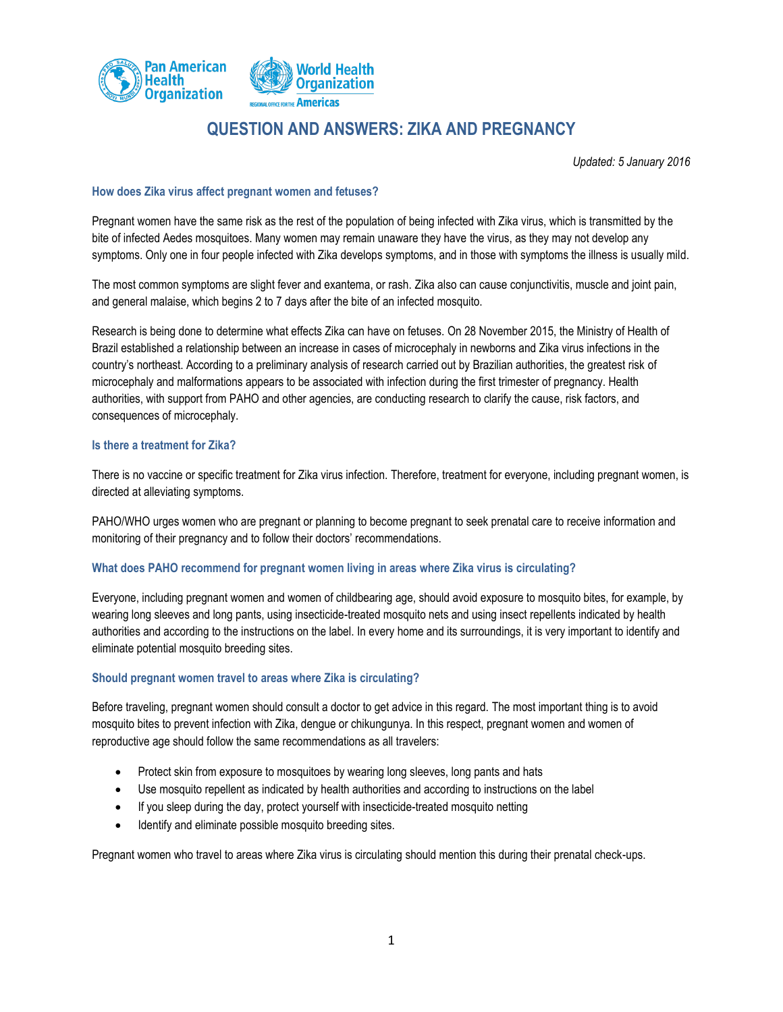

# **QUESTION AND ANSWERS: ZIKA AND PREGNANCY**

*Updated: 5 January 2016*

# **How does Zika virus affect pregnant women and fetuses?**

Pregnant women have the same risk as the rest of the population of being infected with Zika virus, which is transmitted by the bite of infected Aedes mosquitoes. Many women may remain unaware they have the virus, as they may not develop any symptoms. Only one in four people infected with Zika develops symptoms, and in those with symptoms the illness is usually mild.

The most common symptoms are slight fever and exantema, or rash. Zika also can cause conjunctivitis, muscle and joint pain, and general malaise, which begins 2 to 7 days after the bite of an infected mosquito.

Research is being done to determine what effects Zika can have on fetuses. On 28 November 2015, the Ministry of Health of Brazil established a relationship between an increase in cases of microcephaly in newborns and Zika virus infections in the country's northeast. According to a preliminary analysis of research carried out by Brazilian authorities, the greatest risk of microcephaly and malformations appears to be associated with infection during the first trimester of pregnancy. Health authorities, with support from PAHO and other agencies, are conducting research to clarify the cause, risk factors, and consequences of microcephaly.

#### **Is there a treatment for Zika?**

There is no vaccine or specific treatment for Zika virus infection. Therefore, treatment for everyone, including pregnant women, is directed at alleviating symptoms.

PAHO/WHO urges women who are pregnant or planning to become pregnant to seek prenatal care to receive information and monitoring of their pregnancy and to follow their doctors' recommendations.

# **What does PAHO recommend for pregnant women living in areas where Zika virus is circulating?**

Everyone, including pregnant women and women of childbearing age, should avoid exposure to mosquito bites, for example, by wearing long sleeves and long pants, using insecticide-treated mosquito nets and using insect repellents indicated by health authorities and according to the instructions on the label. In every home and its surroundings, it is very important to identify and eliminate potential mosquito breeding sites.

#### **Should pregnant women travel to areas where Zika is circulating?**

Before traveling, pregnant women should consult a doctor to get advice in this regard. The most important thing is to avoid mosquito bites to prevent infection with Zika, dengue or chikungunya. In this respect, pregnant women and women of reproductive age should follow the same recommendations as all travelers:

- Protect skin from exposure to mosquitoes by wearing long sleeves, long pants and hats
- Use mosquito repellent as indicated by health authorities and according to instructions on the label
- If you sleep during the day, protect yourself with insecticide-treated mosquito netting
- Identify and eliminate possible mosquito breeding sites.

Pregnant women who travel to areas where Zika virus is circulating should mention this during their prenatal check-ups.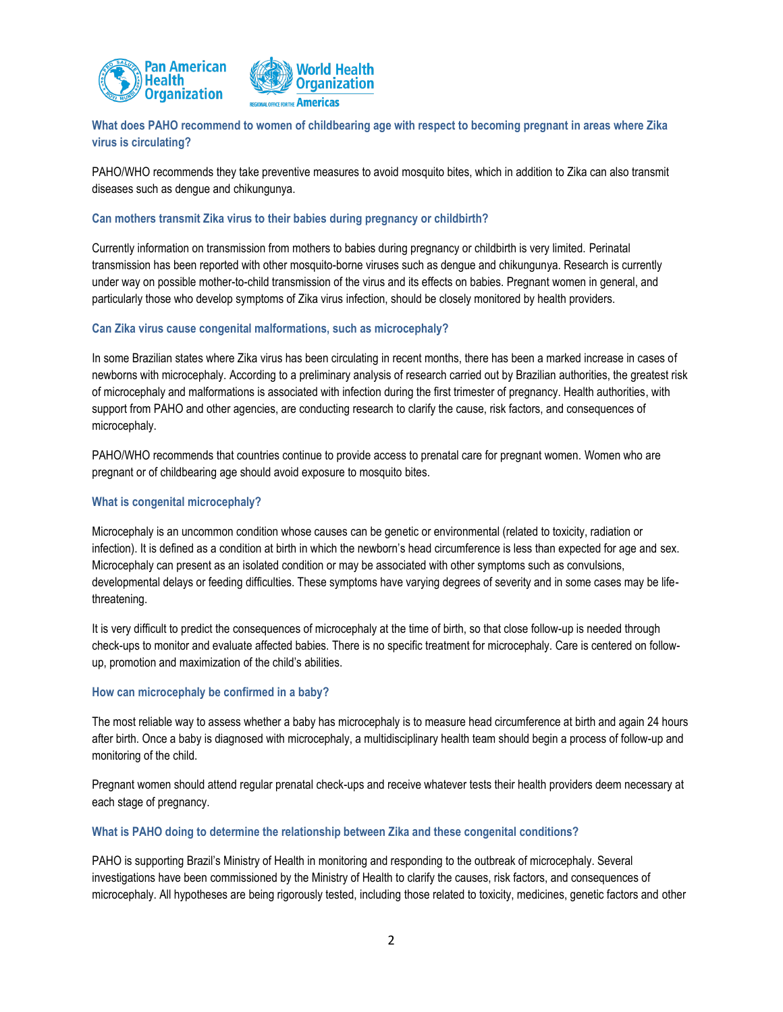



# **What does PAHO recommend to women of childbearing age with respect to becoming pregnant in areas where Zika virus is circulating?**

PAHO/WHO recommends they take preventive measures to avoid mosquito bites, which in addition to Zika can also transmit diseases such as dengue and chikungunya.

### **Can mothers transmit Zika virus to their babies during pregnancy or childbirth?**

Currently information on transmission from mothers to babies during pregnancy or childbirth is very limited. Perinatal transmission has been reported with other mosquito-borne viruses such as dengue and chikungunya. Research is currently under way on possible mother-to-child transmission of the virus and its effects on babies. Pregnant women in general, and particularly those who develop symptoms of Zika virus infection, should be closely monitored by health providers.

# **Can Zika virus cause congenital malformations, such as microcephaly?**

In some Brazilian states where Zika virus has been circulating in recent months, there has been a marked increase in cases of newborns with microcephaly. According to a preliminary analysis of research carried out by Brazilian authorities, the greatest risk of microcephaly and malformations is associated with infection during the first trimester of pregnancy. Health authorities, with support from PAHO and other agencies, are conducting research to clarify the cause, risk factors, and consequences of microcephaly.

PAHO/WHO recommends that countries continue to provide access to prenatal care for pregnant women. Women who are pregnant or of childbearing age should avoid exposure to mosquito bites.

### **What is congenital microcephaly?**

Microcephaly is an uncommon condition whose causes can be genetic or environmental (related to toxicity, radiation or infection). It is defined as a condition at birth in which the newborn's head circumference is less than expected for age and sex. Microcephaly can present as an isolated condition or may be associated with other symptoms such as convulsions, developmental delays or feeding difficulties. These symptoms have varying degrees of severity and in some cases may be lifethreatening.

It is very difficult to predict the consequences of microcephaly at the time of birth, so that close follow-up is needed through check-ups to monitor and evaluate affected babies. There is no specific treatment for microcephaly. Care is centered on followup, promotion and maximization of the child's abilities.

#### **How can microcephaly be confirmed in a baby?**

The most reliable way to assess whether a baby has microcephaly is to measure head circumference at birth and again 24 hours after birth. Once a baby is diagnosed with microcephaly, a multidisciplinary health team should begin a process of follow-up and monitoring of the child.

Pregnant women should attend regular prenatal check-ups and receive whatever tests their health providers deem necessary at each stage of pregnancy.

#### **What is PAHO doing to determine the relationship between Zika and these congenital conditions?**

PAHO is supporting Brazil's Ministry of Health in monitoring and responding to the outbreak of microcephaly. Several investigations have been commissioned by the Ministry of Health to clarify the causes, risk factors, and consequences of microcephaly. All hypotheses are being rigorously tested, including those related to toxicity, medicines, genetic factors and other